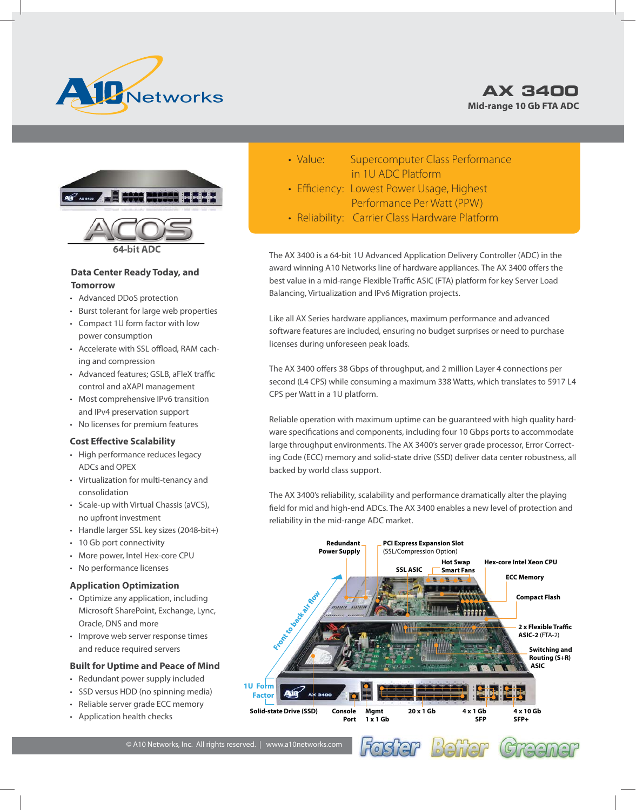





### **Data Center Ready Today, and Tomorrow**

- Advanced DDoS protection
- Burst tolerant for large web properties
- Compact 1U form factor with low power consumption
- Accelerate with SSL offload, RAM caching and compression
- Advanced features: GSLB, aFleX traffic control and aXAPI management
- Most comprehensive IPv6 transition and IPv4 preservation support
- No licenses for premium features

#### **Cost Effective Scalability**

- High performance reduces legacy ADCs and OPEX
- Virtualization for multi-tenancy and consolidation
- Scale-up with Virtual Chassis (aVCS), no upfront investment
- Handle larger SSL key sizes (2048-bit+)
- 10 Gb port connectivity
- More power, Intel Hex-core CPU
- No performance licenses

#### **Application Optimization**

- Optimize any application, including Microsoft SharePoint, Exchange, Lync, Oracle, DNS and more
- Improve web server response times and reduce required servers

#### **Built for Uptime and Peace of Mind**

- Redundant power supply included
- SSD versus HDD (no spinning media)
- Reliable server grade ECC memory
- Application health checks
- Value: Supercomputer Class Performance in 1U ADC Platform
- Efficiency: Lowest Power Usage, Highest Performance Per Watt (PPW)
- Reliability: Carrier Class Hardware Platform

The AX 3400 is a 64-bit 1U Advanced Application Delivery Controller (ADC) in the award winning A10 Networks line of hardware appliances. The AX 3400 offers the best value in a mid-range Flexible Traffic ASIC (FTA) platform for key Server Load Balancing, Virtualization and IPv6 Migration projects.

Like all AX Series hardware appliances, maximum performance and advanced software features are included, ensuring no budget surprises or need to purchase licenses during unforeseen peak loads.

The AX 3400 offers 38 Gbps of throughput, and 2 million Layer 4 connections per second (L4 CPS) while consuming a maximum 338 Watts, which translates to 5917 L4 CPS per Watt in a 1U platform.

Reliable operation with maximum uptime can be guaranteed with high quality hardware specifications and components, including four 10 Gbps ports to accommodate large throughput environments. The AX 3400's server grade processor, Error Correcting Code (ECC) memory and solid-state drive (SSD) deliver data center robustness, all backed by world class support.

The AX 3400's reliability, scalability and performance dramatically alter the playing field for mid and high-end ADCs. The AX 3400 enables a new level of protection and reliability in the mid-range ADC market.



© A10 Networks, Inc. All rights reserved. | www.a10networks.com